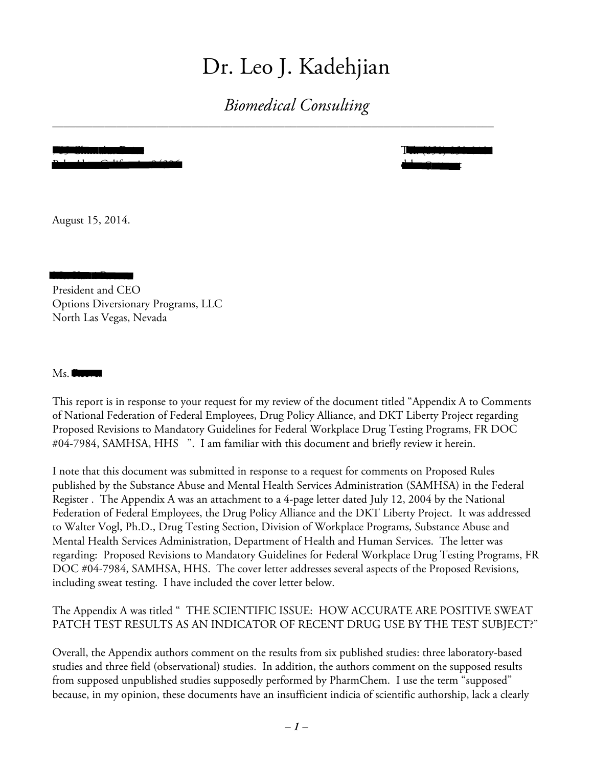# Dr. Leo J. Kadehjian

*Biomedical Consulting*

\_\_\_\_\_\_\_\_\_\_\_\_\_\_\_\_\_\_\_\_\_\_\_\_\_\_\_\_\_\_\_\_\_\_\_\_\_\_\_\_\_\_\_\_\_\_\_\_\_\_\_\_\_\_\_\_\_\_\_\_\_\_\_\_\_\_\_\_\_\_\_\_\_\_\_\_

Palo Alto, California 94306 drleo@att.net

765 Chimalus Drive Tel. (650) 858-0101

August 15, 2014.

ms. Kami Reeves President and CEO Options Diversionary Programs, LLC North Las Vegas, Nevada

Ms. Reeves

This report is in response to your request for my review of the document titled "Appendix A to Comments of National Federation of Federal Employees, Drug Policy Alliance, and DKT Liberty Project regarding Proposed Revisions to Mandatory Guidelines for Federal Workplace Drug Testing Programs, FR DOC #04-7984, SAMHSA, HHS ". I am familiar with this document and briefly review it herein.

I note that this document was submitted in response to a request for comments on Proposed Rules published by the Substance Abuse and Mental Health Services Administration (SAMHSA) in the Federal Register . The Appendix A was an attachment to a 4-page letter dated July 12, 2004 by the National Federation of Federal Employees, the Drug Policy Alliance and the DKT Liberty Project. It was addressed to Walter Vogl, Ph.D., Drug Testing Section, Division of Workplace Programs, Substance Abuse and Mental Health Services Administration, Department of Health and Human Services. The letter was regarding: Proposed Revisions to Mandatory Guidelines for Federal Workplace Drug Testing Programs, FR DOC #04-7984, SAMHSA, HHS. The cover letter addresses several aspects of the Proposed Revisions, including sweat testing. I have included the cover letter below.

The Appendix A was titled " THE SCIENTIFIC ISSUE: HOW ACCURATE ARE POSITIVE SWEAT PATCH TEST RESULTS AS AN INDICATOR OF RECENT DRUG USE BY THE TEST SUBJECT?"

Overall, the Appendix authors comment on the results from six published studies: three laboratory-based studies and three field (observational) studies. In addition, the authors comment on the supposed results from supposed unpublished studies supposedly performed by PharmChem. I use the term "supposed" because, in my opinion, these documents have an insufficient indicia of scientific authorship, lack a clearly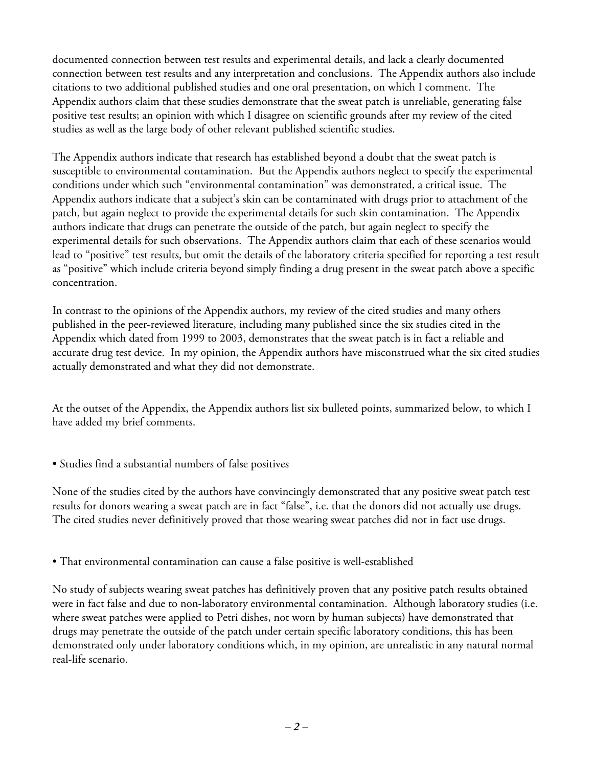documented connection between test results and experimental details, and lack a clearly documented connection between test results and any interpretation and conclusions. The Appendix authors also include citations to two additional published studies and one oral presentation, on which I comment. The Appendix authors claim that these studies demonstrate that the sweat patch is unreliable, generating false positive test results; an opinion with which I disagree on scientific grounds after my review of the cited studies as well as the large body of other relevant published scientific studies.

The Appendix authors indicate that research has established beyond a doubt that the sweat patch is susceptible to environmental contamination. But the Appendix authors neglect to specify the experimental conditions under which such "environmental contamination" was demonstrated, a critical issue. The Appendix authors indicate that a subject's skin can be contaminated with drugs prior to attachment of the patch, but again neglect to provide the experimental details for such skin contamination. The Appendix authors indicate that drugs can penetrate the outside of the patch, but again neglect to specify the experimental details for such observations. The Appendix authors claim that each of these scenarios would lead to "positive" test results, but omit the details of the laboratory criteria specified for reporting a test result as "positive" which include criteria beyond simply finding a drug present in the sweat patch above a specific concentration.

In contrast to the opinions of the Appendix authors, my review of the cited studies and many others published in the peer-reviewed literature, including many published since the six studies cited in the Appendix which dated from 1999 to 2003, demonstrates that the sweat patch is in fact a reliable and accurate drug test device. In my opinion, the Appendix authors have misconstrued what the six cited studies actually demonstrated and what they did not demonstrate.

At the outset of the Appendix, the Appendix authors list six bulleted points, summarized below, to which I have added my brief comments.

• Studies find a substantial numbers of false positives

None of the studies cited by the authors have convincingly demonstrated that any positive sweat patch test results for donors wearing a sweat patch are in fact "false", i.e. that the donors did not actually use drugs. The cited studies never definitively proved that those wearing sweat patches did not in fact use drugs.

• That environmental contamination can cause a false positive is well-established

No study of subjects wearing sweat patches has definitively proven that any positive patch results obtained were in fact false and due to non-laboratory environmental contamination. Although laboratory studies (i.e. where sweat patches were applied to Petri dishes, not worn by human subjects) have demonstrated that drugs may penetrate the outside of the patch under certain specific laboratory conditions, this has been demonstrated only under laboratory conditions which, in my opinion, are unrealistic in any natural normal real-life scenario.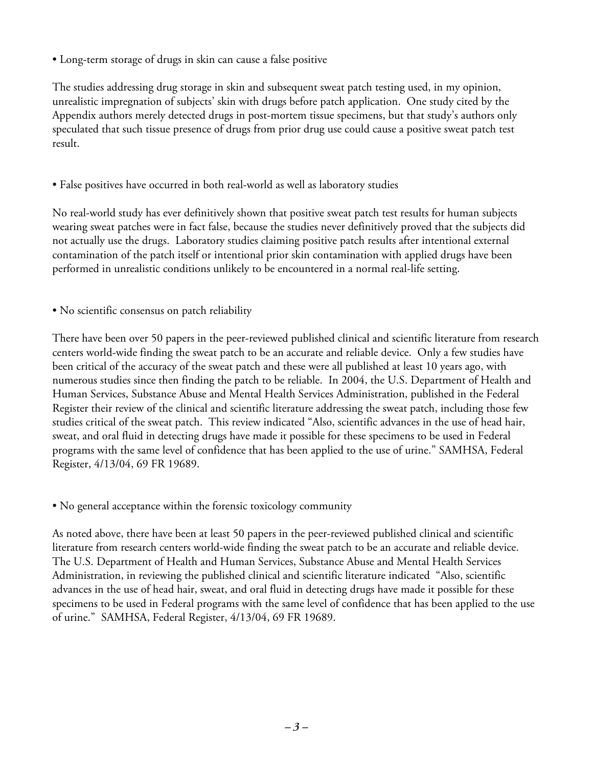• Long-term storage of drugs in skin can cause a false positive

The studies addressing drug storage in skin and subsequent sweat patch testing used, in my opinion, unrealistic impregnation of subjects' skin with drugs before patch application. One study cited by the Appendix authors merely detected drugs in post-mortem tissue specimens, but that study's authors only speculated that such tissue presence of drugs from prior drug use could cause a positive sweat patch test result.

• False positives have occurred in both real-world as well as laboratory studies

No real-world study has ever definitively shown that positive sweat patch test results for human subjects wearing sweat patches were in fact false, because the studies never definitively proved that the subjects did not actually use the drugs. Laboratory studies claiming positive patch results after intentional external contamination of the patch itself or intentional prior skin contamination with applied drugs have been performed in unrealistic conditions unlikely to be encountered in a normal real-life setting.

• No scientific consensus on patch reliability

There have been over 50 papers in the peer-reviewed published clinical and scientific literature from research centers world-wide finding the sweat patch to be an accurate and reliable device. Only a few studies have been critical of the accuracy of the sweat patch and these were all published at least 10 years ago, with numerous studies since then finding the patch to be reliable. In 2004, the U.S. Department of Health and Human Services, Substance Abuse and Mental Health Services Administration, published in the Federal Register their review of the clinical and scientific literature addressing the sweat patch, including those few studies critical of the sweat patch. This review indicated "Also, scientific advances in the use of head hair, sweat, and oral fluid in detecting drugs have made it possible for these specimens to be used in Federal programs with the same level of confidence that has been applied to the use of urine." SAMHSA, Federal Register, 4/13/04, 69 FR 19689.

• No general acceptance within the forensic toxicology community

As noted above, there have been at least 50 papers in the peer-reviewed published clinical and scientific literature from research centers world-wide finding the sweat patch to be an accurate and reliable device. The U.S. Department of Health and Human Services, Substance Abuse and Mental Health Services Administration, in reviewing the published clinical and scientific literature indicated "Also, scientific advances in the use of head hair, sweat, and oral fluid in detecting drugs have made it possible for these specimens to be used in Federal programs with the same level of confidence that has been applied to the use of urine." SAMHSA, Federal Register, 4/13/04, 69 FR 19689.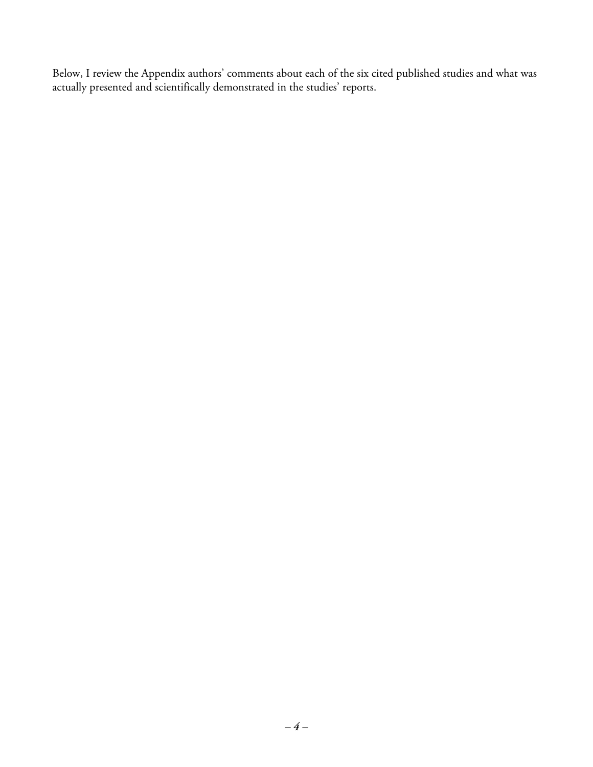Below, I review the Appendix authors' comments about each of the six cited published studies and what was actually presented and scientifically demonstrated in the studies' reports.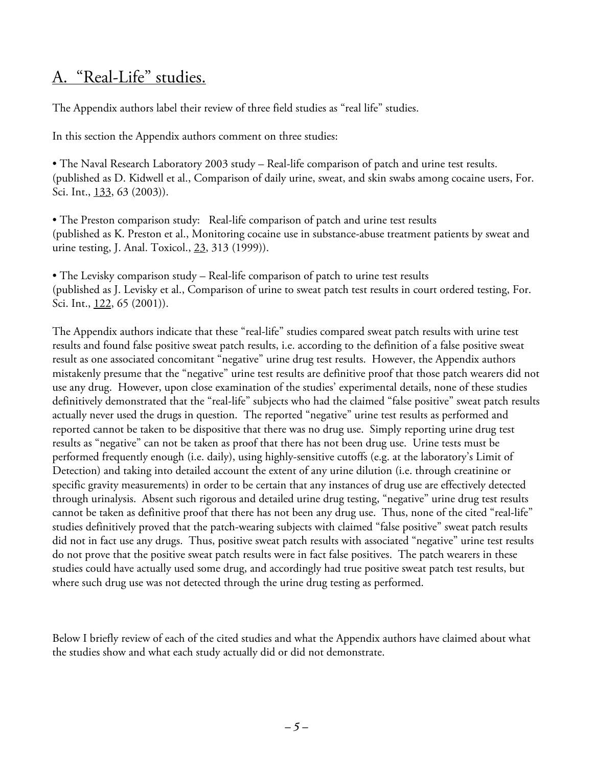#### A. "Real-Life" studies.

The Appendix authors label their review of three field studies as "real life" studies.

In this section the Appendix authors comment on three studies:

• The Naval Research Laboratory 2003 study – Real-life comparison of patch and urine test results. (published as D. Kidwell et al., Comparison of daily urine, sweat, and skin swabs among cocaine users, For. Sci. Int., 133, 63 (2003)).

• The Preston comparison study: Real-life comparison of patch and urine test results (published as K. Preston et al., Monitoring cocaine use in substance-abuse treatment patients by sweat and urine testing, J. Anal. Toxicol., 23, 313 (1999)).

• The Levisky comparison study – Real-life comparison of patch to urine test results (published as J. Levisky et al., Comparison of urine to sweat patch test results in court ordered testing, For. Sci. Int., 122, 65 (2001)).

The Appendix authors indicate that these "real-life" studies compared sweat patch results with urine test results and found false positive sweat patch results, i.e. according to the definition of a false positive sweat result as one associated concomitant "negative" urine drug test results. However, the Appendix authors mistakenly presume that the "negative" urine test results are definitive proof that those patch wearers did not use any drug. However, upon close examination of the studies' experimental details, none of these studies definitively demonstrated that the "real-life" subjects who had the claimed "false positive" sweat patch results actually never used the drugs in question. The reported "negative" urine test results as performed and reported cannot be taken to be dispositive that there was no drug use. Simply reporting urine drug test results as "negative" can not be taken as proof that there has not been drug use. Urine tests must be performed frequently enough (i.e. daily), using highly-sensitive cutoffs (e.g. at the laboratory's Limit of Detection) and taking into detailed account the extent of any urine dilution (i.e. through creatinine or specific gravity measurements) in order to be certain that any instances of drug use are effectively detected through urinalysis. Absent such rigorous and detailed urine drug testing, "negative" urine drug test results cannot be taken as definitive proof that there has not been any drug use. Thus, none of the cited "real-life" studies definitively proved that the patch-wearing subjects with claimed "false positive" sweat patch results did not in fact use any drugs. Thus, positive sweat patch results with associated "negative" urine test results do not prove that the positive sweat patch results were in fact false positives. The patch wearers in these studies could have actually used some drug, and accordingly had true positive sweat patch test results, but where such drug use was not detected through the urine drug testing as performed.

Below I briefly review of each of the cited studies and what the Appendix authors have claimed about what the studies show and what each study actually did or did not demonstrate.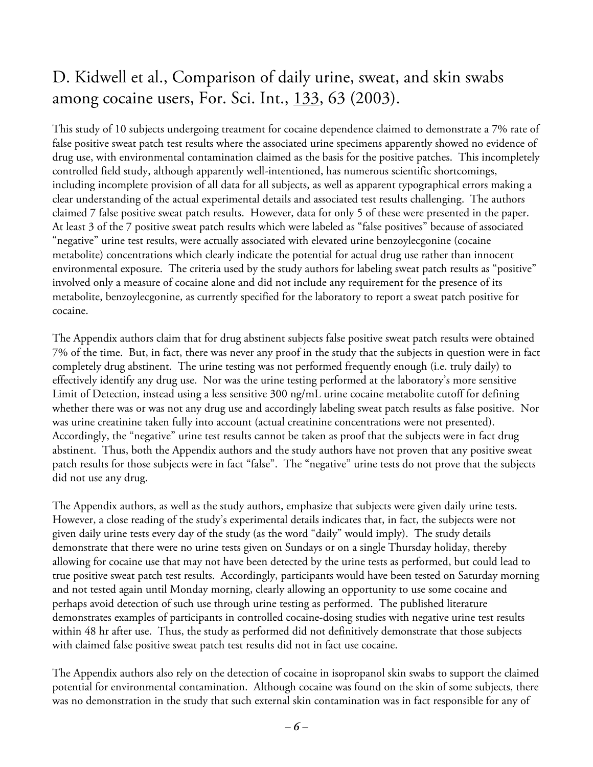## D. Kidwell et al., Comparison of daily urine, sweat, and skin swabs among cocaine users, For. Sci. Int., 133, 63 (2003).

This study of 10 subjects undergoing treatment for cocaine dependence claimed to demonstrate a 7% rate of false positive sweat patch test results where the associated urine specimens apparently showed no evidence of drug use, with environmental contamination claimed as the basis for the positive patches. This incompletely controlled field study, although apparently well-intentioned, has numerous scientific shortcomings, including incomplete provision of all data for all subjects, as well as apparent typographical errors making a clear understanding of the actual experimental details and associated test results challenging. The authors claimed 7 false positive sweat patch results. However, data for only 5 of these were presented in the paper. At least 3 of the 7 positive sweat patch results which were labeled as "false positives" because of associated "negative" urine test results, were actually associated with elevated urine benzoylecgonine (cocaine metabolite) concentrations which clearly indicate the potential for actual drug use rather than innocent environmental exposure. The criteria used by the study authors for labeling sweat patch results as "positive" involved only a measure of cocaine alone and did not include any requirement for the presence of its metabolite, benzoylecgonine, as currently specified for the laboratory to report a sweat patch positive for cocaine.

The Appendix authors claim that for drug abstinent subjects false positive sweat patch results were obtained 7% of the time. But, in fact, there was never any proof in the study that the subjects in question were in fact completely drug abstinent. The urine testing was not performed frequently enough (i.e. truly daily) to effectively identify any drug use. Nor was the urine testing performed at the laboratory's more sensitive Limit of Detection, instead using a less sensitive 300 ng/mL urine cocaine metabolite cutoff for defining whether there was or was not any drug use and accordingly labeling sweat patch results as false positive. Nor was urine creatinine taken fully into account (actual creatinine concentrations were not presented). Accordingly, the "negative" urine test results cannot be taken as proof that the subjects were in fact drug abstinent. Thus, both the Appendix authors and the study authors have not proven that any positive sweat patch results for those subjects were in fact "false". The "negative" urine tests do not prove that the subjects did not use any drug.

The Appendix authors, as well as the study authors, emphasize that subjects were given daily urine tests. However, a close reading of the study's experimental details indicates that, in fact, the subjects were not given daily urine tests every day of the study (as the word "daily" would imply). The study details demonstrate that there were no urine tests given on Sundays or on a single Thursday holiday, thereby allowing for cocaine use that may not have been detected by the urine tests as performed, but could lead to true positive sweat patch test results. Accordingly, participants would have been tested on Saturday morning and not tested again until Monday morning, clearly allowing an opportunity to use some cocaine and perhaps avoid detection of such use through urine testing as performed. The published literature demonstrates examples of participants in controlled cocaine-dosing studies with negative urine test results within 48 hr after use. Thus, the study as performed did not definitively demonstrate that those subjects with claimed false positive sweat patch test results did not in fact use cocaine.

The Appendix authors also rely on the detection of cocaine in isopropanol skin swabs to support the claimed potential for environmental contamination. Although cocaine was found on the skin of some subjects, there was no demonstration in the study that such external skin contamination was in fact responsible for any of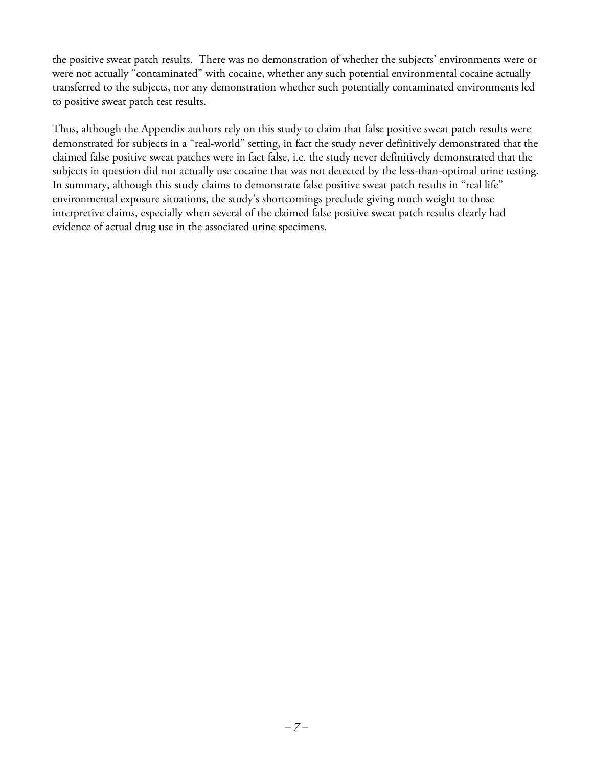the positive sweat patch results. There was no demonstration of whether the subjects' environments were or were not actually "contaminated" with cocaine, whether any such potential environmental cocaine actually transferred to the subjects, nor any demonstration whether such potentially contaminated environments led to positive sweat patch test results.

Thus, although the Appendix authors rely on this study to claim that false positive sweat patch results were demonstrated for subjects in a "real-world" setting, in fact the study never definitively demonstrated that the claimed false positive sweat patches were in fact false, i.e. the study never definitively demonstrated that the subjects in question did not actually use cocaine that was not detected by the less-than-optimal urine testing. In summary, although this study claims to demonstrate false positive sweat patch results in "real life" environmental exposure situations, the study's shortcomings preclude giving much weight to those interpretive claims, especially when several of the claimed false positive sweat patch results clearly had evidence of actual drug use in the associated urine specimens.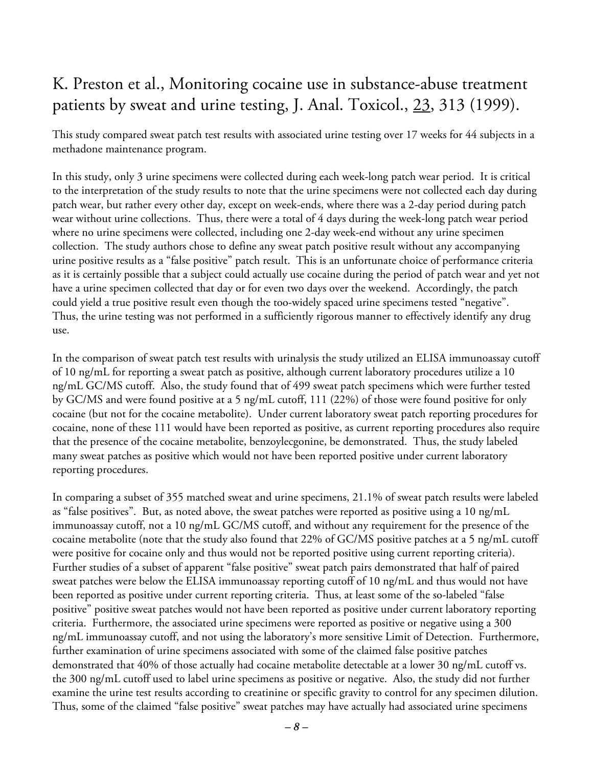#### K. Preston et al., Monitoring cocaine use in substance-abuse treatment patients by sweat and urine testing, J. Anal. Toxicol., 23, 313 (1999).

This study compared sweat patch test results with associated urine testing over 17 weeks for 44 subjects in a methadone maintenance program.

In this study, only 3 urine specimens were collected during each week-long patch wear period. It is critical to the interpretation of the study results to note that the urine specimens were not collected each day during patch wear, but rather every other day, except on week-ends, where there was a 2-day period during patch wear without urine collections. Thus, there were a total of 4 days during the week-long patch wear period where no urine specimens were collected, including one 2-day week-end without any urine specimen collection. The study authors chose to define any sweat patch positive result without any accompanying urine positive results as a "false positive" patch result. This is an unfortunate choice of performance criteria as it is certainly possible that a subject could actually use cocaine during the period of patch wear and yet not have a urine specimen collected that day or for even two days over the weekend. Accordingly, the patch could yield a true positive result even though the too-widely spaced urine specimens tested "negative". Thus, the urine testing was not performed in a sufficiently rigorous manner to effectively identify any drug use.

In the comparison of sweat patch test results with urinalysis the study utilized an ELISA immunoassay cutoff of 10 ng/mL for reporting a sweat patch as positive, although current laboratory procedures utilize a 10 ng/mL GC/MS cutoff. Also, the study found that of 499 sweat patch specimens which were further tested by GC/MS and were found positive at a 5 ng/mL cutoff, 111 (22%) of those were found positive for only cocaine (but not for the cocaine metabolite). Under current laboratory sweat patch reporting procedures for cocaine, none of these 111 would have been reported as positive, as current reporting procedures also require that the presence of the cocaine metabolite, benzoylecgonine, be demonstrated. Thus, the study labeled many sweat patches as positive which would not have been reported positive under current laboratory reporting procedures.

In comparing a subset of 355 matched sweat and urine specimens, 21.1% of sweat patch results were labeled as "false positives". But, as noted above, the sweat patches were reported as positive using a 10 ng/mL immunoassay cutoff, not a 10 ng/mL GC/MS cutoff, and without any requirement for the presence of the cocaine metabolite (note that the study also found that 22% of GC/MS positive patches at a 5 ng/mL cutoff were positive for cocaine only and thus would not be reported positive using current reporting criteria). Further studies of a subset of apparent "false positive" sweat patch pairs demonstrated that half of paired sweat patches were below the ELISA immunoassay reporting cutoff of 10 ng/mL and thus would not have been reported as positive under current reporting criteria. Thus, at least some of the so-labeled "false positive" positive sweat patches would not have been reported as positive under current laboratory reporting criteria. Furthermore, the associated urine specimens were reported as positive or negative using a 300 ng/mL immunoassay cutoff, and not using the laboratory's more sensitive Limit of Detection. Furthermore, further examination of urine specimens associated with some of the claimed false positive patches demonstrated that 40% of those actually had cocaine metabolite detectable at a lower 30 ng/mL cutoff vs. the 300 ng/mL cutoff used to label urine specimens as positive or negative. Also, the study did not further examine the urine test results according to creatinine or specific gravity to control for any specimen dilution. Thus, some of the claimed "false positive" sweat patches may have actually had associated urine specimens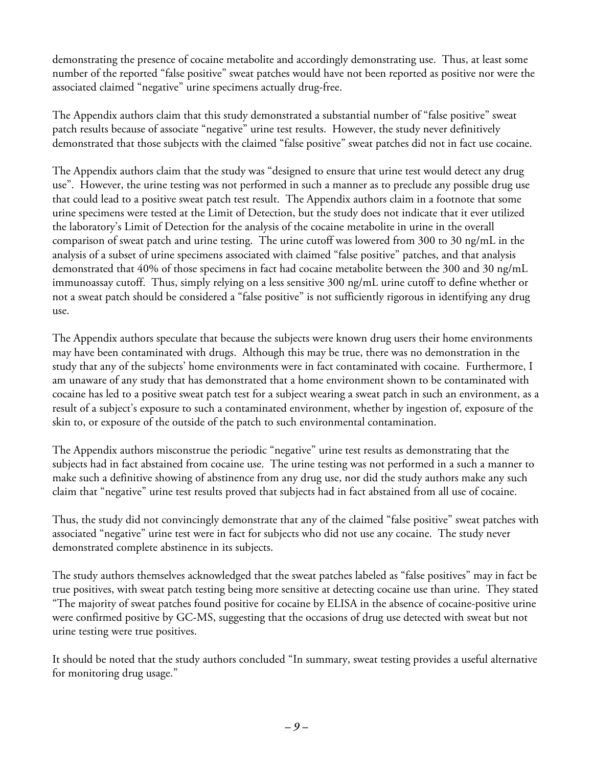demonstrating the presence of cocaine metabolite and accordingly demonstrating use. Thus, at least some number of the reported "false positive" sweat patches would have not been reported as positive nor were the associated claimed "negative" urine specimens actually drug-free.

The Appendix authors claim that this study demonstrated a substantial number of "false positive" sweat patch results because of associate "negative" urine test results. However, the study never definitively demonstrated that those subjects with the claimed "false positive" sweat patches did not in fact use cocaine.

The Appendix authors claim that the study was "designed to ensure that urine test would detect any drug use". However, the urine testing was not performed in such a manner as to preclude any possible drug use that could lead to a positive sweat patch test result. The Appendix authors claim in a footnote that some urine specimens were tested at the Limit of Detection, but the study does not indicate that it ever utilized the laboratory's Limit of Detection for the analysis of the cocaine metabolite in urine in the overall comparison of sweat patch and urine testing. The urine cutoff was lowered from 300 to 30 ng/mL in the analysis of a subset of urine specimens associated with claimed "false positive" patches, and that analysis demonstrated that 40% of those specimens in fact had cocaine metabolite between the 300 and 30 ng/mL immunoassay cutoff. Thus, simply relying on a less sensitive 300 ng/mL urine cutoff to define whether or not a sweat patch should be considered a "false positive" is not sufficiently rigorous in identifying any drug use.

The Appendix authors speculate that because the subjects were known drug users their home environments may have been contaminated with drugs. Although this may be true, there was no demonstration in the study that any of the subjects' home environments were in fact contaminated with cocaine. Furthermore, I am unaware of any study that has demonstrated that a home environment shown to be contaminated with cocaine has led to a positive sweat patch test for a subject wearing a sweat patch in such an environment, as a result of a subject's exposure to such a contaminated environment, whether by ingestion of, exposure of the skin to, or exposure of the outside of the patch to such environmental contamination.

The Appendix authors misconstrue the periodic "negative" urine test results as demonstrating that the subjects had in fact abstained from cocaine use. The urine testing was not performed in a such a manner to make such a definitive showing of abstinence from any drug use, nor did the study authors make any such claim that "negative" urine test results proved that subjects had in fact abstained from all use of cocaine.

Thus, the study did not convincingly demonstrate that any of the claimed "false positive" sweat patches with associated "negative" urine test were in fact for subjects who did not use any cocaine. The study never demonstrated complete abstinence in its subjects.

The study authors themselves acknowledged that the sweat patches labeled as "false positives" may in fact be true positives, with sweat patch testing being more sensitive at detecting cocaine use than urine. They stated "The majority of sweat patches found positive for cocaine by ELISA in the absence of cocaine-positive urine were confirmed positive by GC-MS, suggesting that the occasions of drug use detected with sweat but not urine testing were true positives.

It should be noted that the study authors concluded "In summary, sweat testing provides a useful alternative for monitoring drug usage."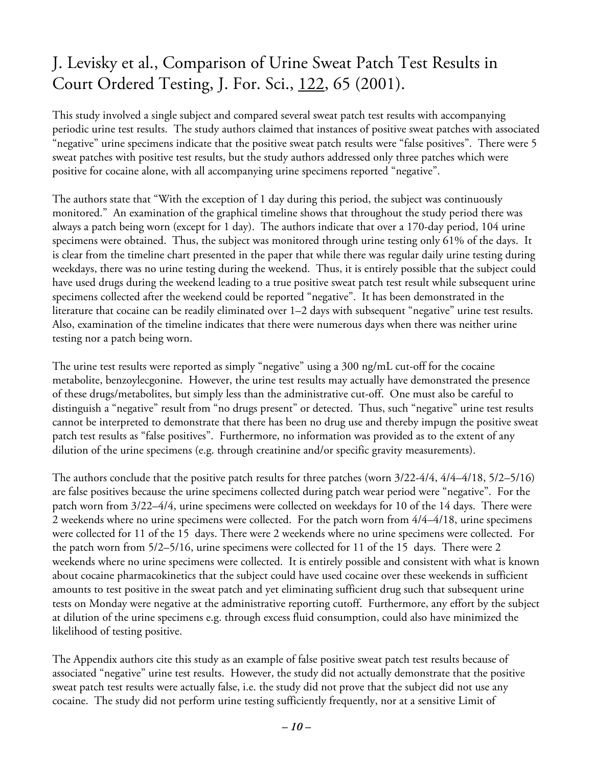## J. Levisky et al., Comparison of Urine Sweat Patch Test Results in Court Ordered Testing, J. For. Sci., 122, 65 (2001).

This study involved a single subject and compared several sweat patch test results with accompanying periodic urine test results. The study authors claimed that instances of positive sweat patches with associated "negative" urine specimens indicate that the positive sweat patch results were "false positives". There were 5 sweat patches with positive test results, but the study authors addressed only three patches which were positive for cocaine alone, with all accompanying urine specimens reported "negative".

The authors state that "With the exception of 1 day during this period, the subject was continuously monitored." An examination of the graphical timeline shows that throughout the study period there was always a patch being worn (except for 1 day). The authors indicate that over a 170-day period, 104 urine specimens were obtained. Thus, the subject was monitored through urine testing only 61% of the days. It is clear from the timeline chart presented in the paper that while there was regular daily urine testing during weekdays, there was no urine testing during the weekend. Thus, it is entirely possible that the subject could have used drugs during the weekend leading to a true positive sweat patch test result while subsequent urine specimens collected after the weekend could be reported "negative". It has been demonstrated in the literature that cocaine can be readily eliminated over 1–2 days with subsequent "negative" urine test results. Also, examination of the timeline indicates that there were numerous days when there was neither urine testing nor a patch being worn.

The urine test results were reported as simply "negative" using a 300 ng/mL cut-off for the cocaine metabolite, benzoylecgonine. However, the urine test results may actually have demonstrated the presence of these drugs/metabolites, but simply less than the administrative cut-off. One must also be careful to distinguish a "negative" result from "no drugs present" or detected. Thus, such "negative" urine test results cannot be interpreted to demonstrate that there has been no drug use and thereby impugn the positive sweat patch test results as "false positives". Furthermore, no information was provided as to the extent of any dilution of the urine specimens (e.g. through creatinine and/or specific gravity measurements).

The authors conclude that the positive patch results for three patches (worn 3/22-4/4, 4/4–4/18, 5/2–5/16) are false positives because the urine specimens collected during patch wear period were "negative". For the patch worn from 3/22–4/4, urine specimens were collected on weekdays for 10 of the 14 days. There were 2 weekends where no urine specimens were collected. For the patch worn from 4/4–4/18, urine specimens were collected for 11 of the 15 days. There were 2 weekends where no urine specimens were collected. For the patch worn from 5/2–5/16, urine specimens were collected for 11 of the 15 days. There were 2 weekends where no urine specimens were collected. It is entirely possible and consistent with what is known about cocaine pharmacokinetics that the subject could have used cocaine over these weekends in sufficient amounts to test positive in the sweat patch and yet eliminating sufficient drug such that subsequent urine tests on Monday were negative at the administrative reporting cutoff. Furthermore, any effort by the subject at dilution of the urine specimens e.g. through excess fluid consumption, could also have minimized the likelihood of testing positive.

The Appendix authors cite this study as an example of false positive sweat patch test results because of associated "negative" urine test results. However, the study did not actually demonstrate that the positive sweat patch test results were actually false, i.e. the study did not prove that the subject did not use any cocaine. The study did not perform urine testing sufficiently frequently, nor at a sensitive Limit of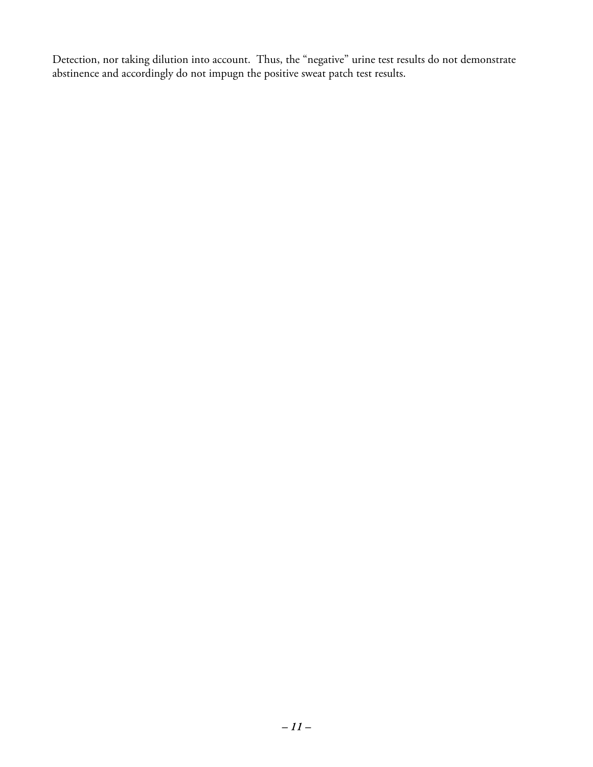Detection, nor taking dilution into account. Thus, the "negative" urine test results do not demonstrate abstinence and accordingly do not impugn the positive sweat patch test results.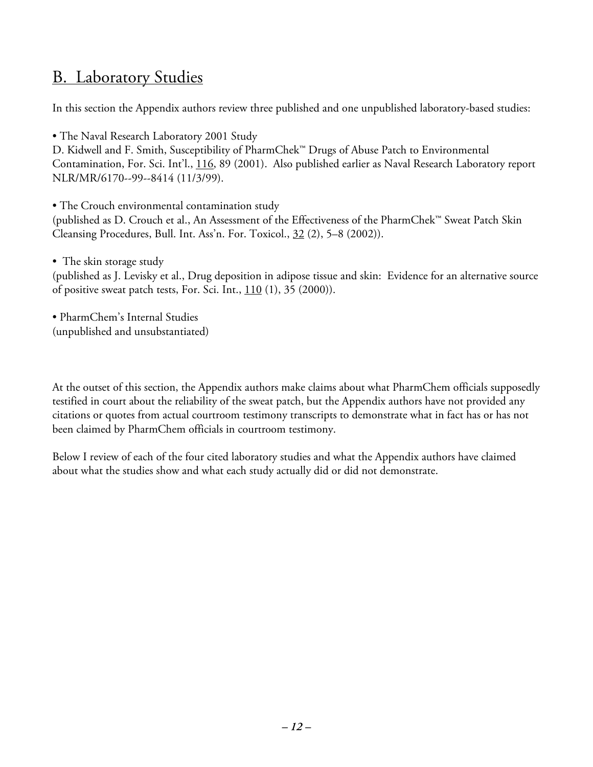#### B. Laboratory Studies

In this section the Appendix authors review three published and one unpublished laboratory-based studies:

• The Naval Research Laboratory 2001 Study

D. Kidwell and F. Smith, Susceptibility of PharmChek™ Drugs of Abuse Patch to Environmental Contamination, For. Sci. Int'l., 116, 89 (2001). Also published earlier as Naval Research Laboratory report NLR/MR/6170--99--8414 (11/3/99).

• The Crouch environmental contamination study

(published as D. Crouch et al., An Assessment of the Effectiveness of the PharmChek™ Sweat Patch Skin Cleansing Procedures, Bull. Int. Ass'n. For. Toxicol., 32 (2), 5–8 (2002)).

• The skin storage study

(published as J. Levisky et al., Drug deposition in adipose tissue and skin: Evidence for an alternative source of positive sweat patch tests, For. Sci. Int.,  $110(1)$ , 35 (2000)).

• PharmChem's Internal Studies (unpublished and unsubstantiated)

At the outset of this section, the Appendix authors make claims about what PharmChem officials supposedly testified in court about the reliability of the sweat patch, but the Appendix authors have not provided any citations or quotes from actual courtroom testimony transcripts to demonstrate what in fact has or has not been claimed by PharmChem officials in courtroom testimony.

Below I review of each of the four cited laboratory studies and what the Appendix authors have claimed about what the studies show and what each study actually did or did not demonstrate.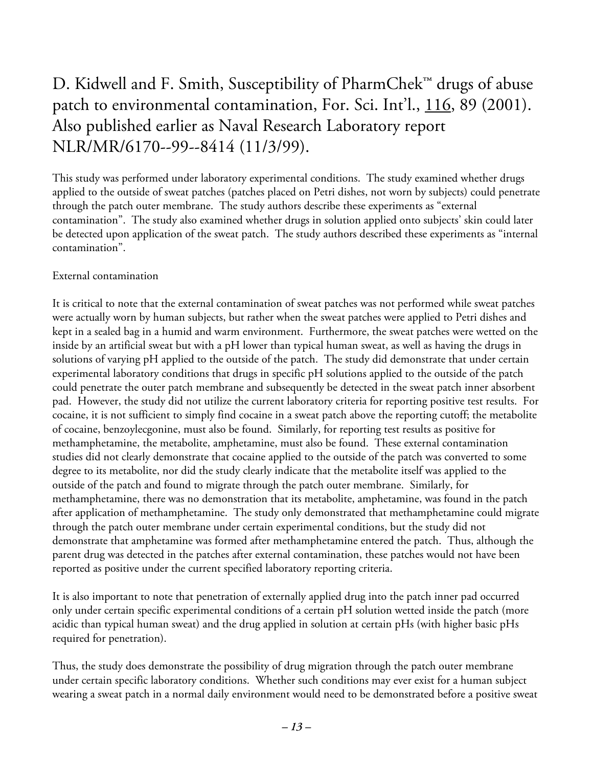#### D. Kidwell and F. Smith, Susceptibility of PharmChek™ drugs of abuse patch to environmental contamination, For. Sci. Int'l., 116, 89 (2001). Also published earlier as Naval Research Laboratory report NLR/MR/6170--99--8414 (11/3/99).

This study was performed under laboratory experimental conditions. The study examined whether drugs applied to the outside of sweat patches (patches placed on Petri dishes, not worn by subjects) could penetrate through the patch outer membrane. The study authors describe these experiments as "external contamination". The study also examined whether drugs in solution applied onto subjects' skin could later be detected upon application of the sweat patch. The study authors described these experiments as "internal contamination".

#### External contamination

It is critical to note that the external contamination of sweat patches was not performed while sweat patches were actually worn by human subjects, but rather when the sweat patches were applied to Petri dishes and kept in a sealed bag in a humid and warm environment. Furthermore, the sweat patches were wetted on the inside by an artificial sweat but with a pH lower than typical human sweat, as well as having the drugs in solutions of varying pH applied to the outside of the patch. The study did demonstrate that under certain experimental laboratory conditions that drugs in specific pH solutions applied to the outside of the patch could penetrate the outer patch membrane and subsequently be detected in the sweat patch inner absorbent pad. However, the study did not utilize the current laboratory criteria for reporting positive test results. For cocaine, it is not sufficient to simply find cocaine in a sweat patch above the reporting cutoff; the metabolite of cocaine, benzoylecgonine, must also be found. Similarly, for reporting test results as positive for methamphetamine, the metabolite, amphetamine, must also be found. These external contamination studies did not clearly demonstrate that cocaine applied to the outside of the patch was converted to some degree to its metabolite, nor did the study clearly indicate that the metabolite itself was applied to the outside of the patch and found to migrate through the patch outer membrane. Similarly, for methamphetamine, there was no demonstration that its metabolite, amphetamine, was found in the patch after application of methamphetamine. The study only demonstrated that methamphetamine could migrate through the patch outer membrane under certain experimental conditions, but the study did not demonstrate that amphetamine was formed after methamphetamine entered the patch. Thus, although the parent drug was detected in the patches after external contamination, these patches would not have been reported as positive under the current specified laboratory reporting criteria.

It is also important to note that penetration of externally applied drug into the patch inner pad occurred only under certain specific experimental conditions of a certain pH solution wetted inside the patch (more acidic than typical human sweat) and the drug applied in solution at certain pHs (with higher basic pHs required for penetration).

Thus, the study does demonstrate the possibility of drug migration through the patch outer membrane under certain specific laboratory conditions. Whether such conditions may ever exist for a human subject wearing a sweat patch in a normal daily environment would need to be demonstrated before a positive sweat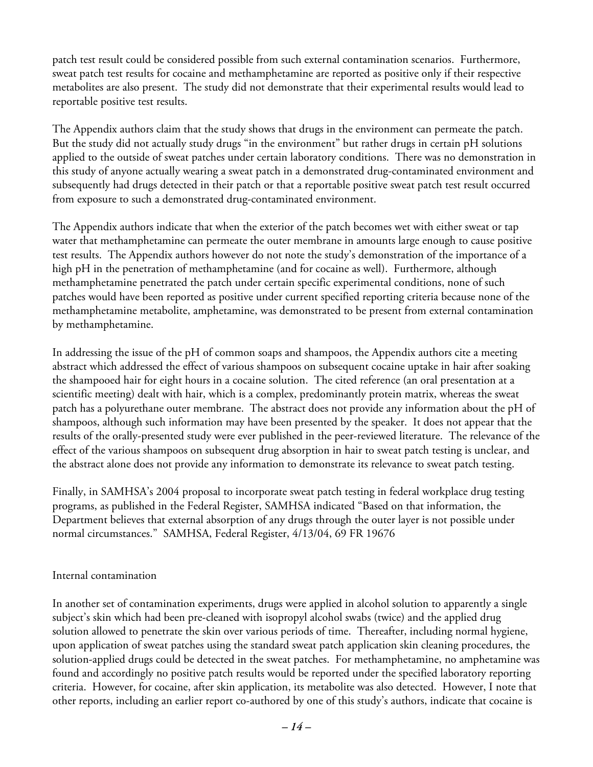patch test result could be considered possible from such external contamination scenarios. Furthermore, sweat patch test results for cocaine and methamphetamine are reported as positive only if their respective metabolites are also present. The study did not demonstrate that their experimental results would lead to reportable positive test results.

The Appendix authors claim that the study shows that drugs in the environment can permeate the patch. But the study did not actually study drugs "in the environment" but rather drugs in certain pH solutions applied to the outside of sweat patches under certain laboratory conditions. There was no demonstration in this study of anyone actually wearing a sweat patch in a demonstrated drug-contaminated environment and subsequently had drugs detected in their patch or that a reportable positive sweat patch test result occurred from exposure to such a demonstrated drug-contaminated environment.

The Appendix authors indicate that when the exterior of the patch becomes wet with either sweat or tap water that methamphetamine can permeate the outer membrane in amounts large enough to cause positive test results. The Appendix authors however do not note the study's demonstration of the importance of a high pH in the penetration of methamphetamine (and for cocaine as well). Furthermore, although methamphetamine penetrated the patch under certain specific experimental conditions, none of such patches would have been reported as positive under current specified reporting criteria because none of the methamphetamine metabolite, amphetamine, was demonstrated to be present from external contamination by methamphetamine.

In addressing the issue of the pH of common soaps and shampoos, the Appendix authors cite a meeting abstract which addressed the effect of various shampoos on subsequent cocaine uptake in hair after soaking the shampooed hair for eight hours in a cocaine solution. The cited reference (an oral presentation at a scientific meeting) dealt with hair, which is a complex, predominantly protein matrix, whereas the sweat patch has a polyurethane outer membrane. The abstract does not provide any information about the pH of shampoos, although such information may have been presented by the speaker. It does not appear that the results of the orally-presented study were ever published in the peer-reviewed literature. The relevance of the effect of the various shampoos on subsequent drug absorption in hair to sweat patch testing is unclear, and the abstract alone does not provide any information to demonstrate its relevance to sweat patch testing.

Finally, in SAMHSA's 2004 proposal to incorporate sweat patch testing in federal workplace drug testing programs, as published in the Federal Register, SAMHSA indicated "Based on that information, the Department believes that external absorption of any drugs through the outer layer is not possible under normal circumstances." SAMHSA, Federal Register, 4/13/04, 69 FR 19676

#### Internal contamination

In another set of contamination experiments, drugs were applied in alcohol solution to apparently a single subject's skin which had been pre-cleaned with isopropyl alcohol swabs (twice) and the applied drug solution allowed to penetrate the skin over various periods of time. Thereafter, including normal hygiene, upon application of sweat patches using the standard sweat patch application skin cleaning procedures, the solution-applied drugs could be detected in the sweat patches. For methamphetamine, no amphetamine was found and accordingly no positive patch results would be reported under the specified laboratory reporting criteria. However, for cocaine, after skin application, its metabolite was also detected. However, I note that other reports, including an earlier report co-authored by one of this study's authors, indicate that cocaine is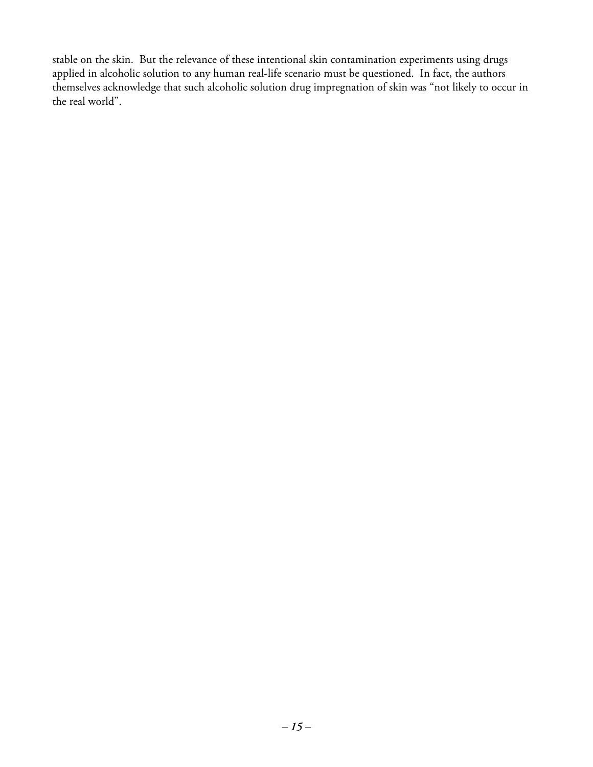stable on the skin. But the relevance of these intentional skin contamination experiments using drugs applied in alcoholic solution to any human real-life scenario must be questioned. In fact, the authors themselves acknowledge that such alcoholic solution drug impregnation of skin was "not likely to occur in the real world".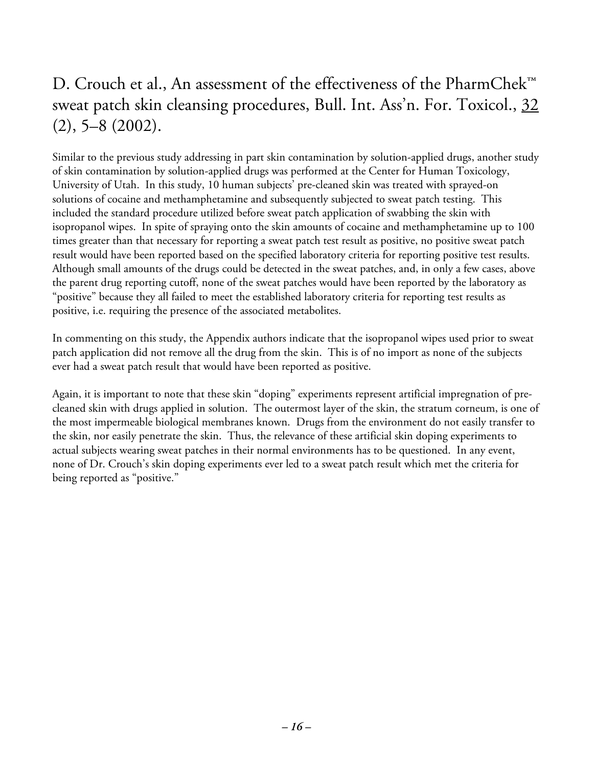## D. Crouch et al., An assessment of the effectiveness of the PharmChek™ sweat patch skin cleansing procedures, Bull. Int. Ass'n. For. Toxicol., 32 (2), 5–8 (2002).

Similar to the previous study addressing in part skin contamination by solution-applied drugs, another study of skin contamination by solution-applied drugs was performed at the Center for Human Toxicology, University of Utah. In this study, 10 human subjects' pre-cleaned skin was treated with sprayed-on solutions of cocaine and methamphetamine and subsequently subjected to sweat patch testing. This included the standard procedure utilized before sweat patch application of swabbing the skin with isopropanol wipes. In spite of spraying onto the skin amounts of cocaine and methamphetamine up to 100 times greater than that necessary for reporting a sweat patch test result as positive, no positive sweat patch result would have been reported based on the specified laboratory criteria for reporting positive test results. Although small amounts of the drugs could be detected in the sweat patches, and, in only a few cases, above the parent drug reporting cutoff, none of the sweat patches would have been reported by the laboratory as "positive" because they all failed to meet the established laboratory criteria for reporting test results as positive, i.e. requiring the presence of the associated metabolites.

In commenting on this study, the Appendix authors indicate that the isopropanol wipes used prior to sweat patch application did not remove all the drug from the skin. This is of no import as none of the subjects ever had a sweat patch result that would have been reported as positive.

Again, it is important to note that these skin "doping" experiments represent artificial impregnation of precleaned skin with drugs applied in solution. The outermost layer of the skin, the stratum corneum, is one of the most impermeable biological membranes known. Drugs from the environment do not easily transfer to the skin, nor easily penetrate the skin. Thus, the relevance of these artificial skin doping experiments to actual subjects wearing sweat patches in their normal environments has to be questioned. In any event, none of Dr. Crouch's skin doping experiments ever led to a sweat patch result which met the criteria for being reported as "positive."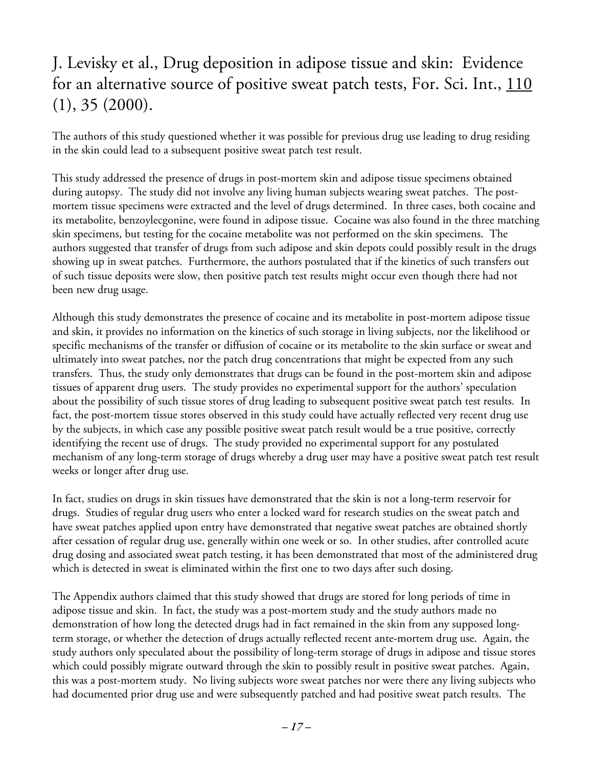## J. Levisky et al., Drug deposition in adipose tissue and skin: Evidence for an alternative source of positive sweat patch tests, For. Sci. Int., 110 (1), 35 (2000).

The authors of this study questioned whether it was possible for previous drug use leading to drug residing in the skin could lead to a subsequent positive sweat patch test result.

This study addressed the presence of drugs in post-mortem skin and adipose tissue specimens obtained during autopsy. The study did not involve any living human subjects wearing sweat patches. The postmortem tissue specimens were extracted and the level of drugs determined. In three cases, both cocaine and its metabolite, benzoylecgonine, were found in adipose tissue. Cocaine was also found in the three matching skin specimens, but testing for the cocaine metabolite was not performed on the skin specimens. The authors suggested that transfer of drugs from such adipose and skin depots could possibly result in the drugs showing up in sweat patches. Furthermore, the authors postulated that if the kinetics of such transfers out of such tissue deposits were slow, then positive patch test results might occur even though there had not been new drug usage.

Although this study demonstrates the presence of cocaine and its metabolite in post-mortem adipose tissue and skin, it provides no information on the kinetics of such storage in living subjects, nor the likelihood or specific mechanisms of the transfer or diffusion of cocaine or its metabolite to the skin surface or sweat and ultimately into sweat patches, nor the patch drug concentrations that might be expected from any such transfers. Thus, the study only demonstrates that drugs can be found in the post-mortem skin and adipose tissues of apparent drug users. The study provides no experimental support for the authors' speculation about the possibility of such tissue stores of drug leading to subsequent positive sweat patch test results. In fact, the post-mortem tissue stores observed in this study could have actually reflected very recent drug use by the subjects, in which case any possible positive sweat patch result would be a true positive, correctly identifying the recent use of drugs. The study provided no experimental support for any postulated mechanism of any long-term storage of drugs whereby a drug user may have a positive sweat patch test result weeks or longer after drug use.

In fact, studies on drugs in skin tissues have demonstrated that the skin is not a long-term reservoir for drugs. Studies of regular drug users who enter a locked ward for research studies on the sweat patch and have sweat patches applied upon entry have demonstrated that negative sweat patches are obtained shortly after cessation of regular drug use, generally within one week or so. In other studies, after controlled acute drug dosing and associated sweat patch testing, it has been demonstrated that most of the administered drug which is detected in sweat is eliminated within the first one to two days after such dosing.

The Appendix authors claimed that this study showed that drugs are stored for long periods of time in adipose tissue and skin. In fact, the study was a post-mortem study and the study authors made no demonstration of how long the detected drugs had in fact remained in the skin from any supposed longterm storage, or whether the detection of drugs actually reflected recent ante-mortem drug use. Again, the study authors only speculated about the possibility of long-term storage of drugs in adipose and tissue stores which could possibly migrate outward through the skin to possibly result in positive sweat patches. Again, this was a post-mortem study. No living subjects wore sweat patches nor were there any living subjects who had documented prior drug use and were subsequently patched and had positive sweat patch results. The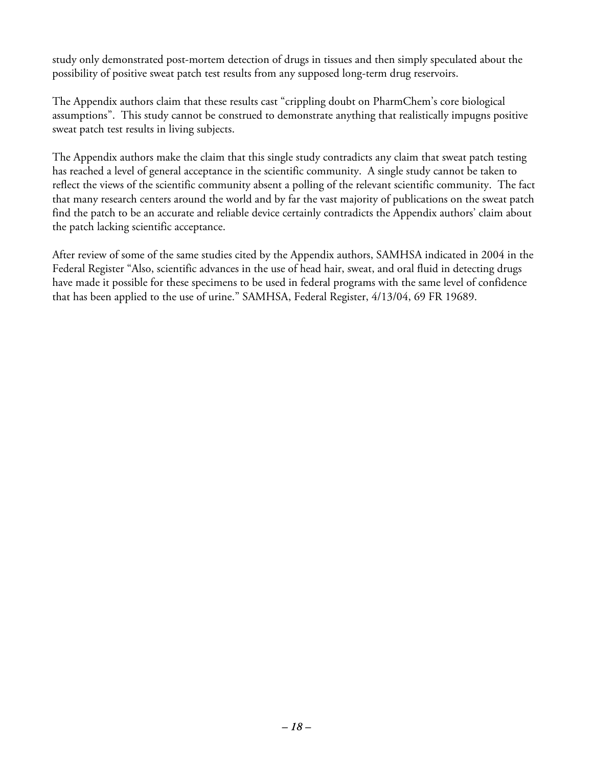study only demonstrated post-mortem detection of drugs in tissues and then simply speculated about the possibility of positive sweat patch test results from any supposed long-term drug reservoirs.

The Appendix authors claim that these results cast "crippling doubt on PharmChem's core biological assumptions". This study cannot be construed to demonstrate anything that realistically impugns positive sweat patch test results in living subjects.

The Appendix authors make the claim that this single study contradicts any claim that sweat patch testing has reached a level of general acceptance in the scientific community. A single study cannot be taken to reflect the views of the scientific community absent a polling of the relevant scientific community. The fact that many research centers around the world and by far the vast majority of publications on the sweat patch find the patch to be an accurate and reliable device certainly contradicts the Appendix authors' claim about the patch lacking scientific acceptance.

After review of some of the same studies cited by the Appendix authors, SAMHSA indicated in 2004 in the Federal Register "Also, scientific advances in the use of head hair, sweat, and oral fluid in detecting drugs have made it possible for these specimens to be used in federal programs with the same level of confidence that has been applied to the use of urine." SAMHSA, Federal Register, 4/13/04, 69 FR 19689.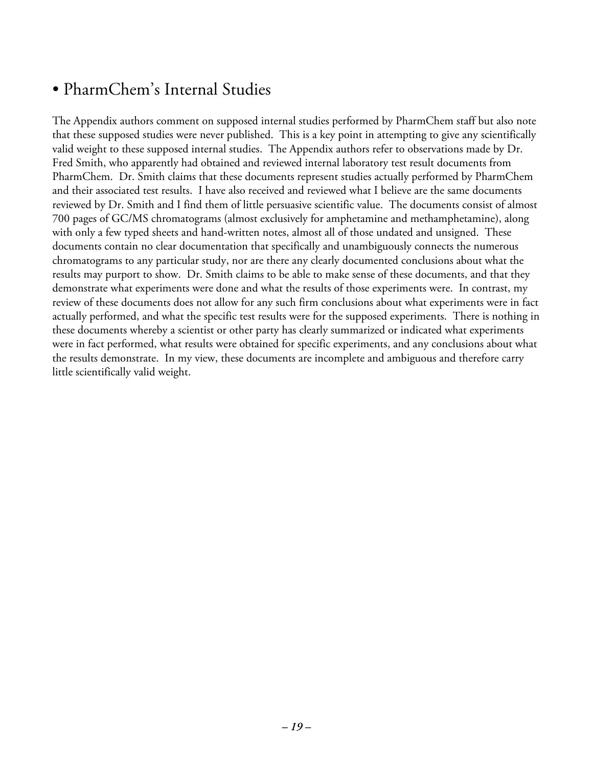#### • PharmChem's Internal Studies

The Appendix authors comment on supposed internal studies performed by PharmChem staff but also note that these supposed studies were never published. This is a key point in attempting to give any scientifically valid weight to these supposed internal studies. The Appendix authors refer to observations made by Dr. Fred Smith, who apparently had obtained and reviewed internal laboratory test result documents from PharmChem. Dr. Smith claims that these documents represent studies actually performed by PharmChem and their associated test results. I have also received and reviewed what I believe are the same documents reviewed by Dr. Smith and I find them of little persuasive scientific value. The documents consist of almost 700 pages of GC/MS chromatograms (almost exclusively for amphetamine and methamphetamine), along with only a few typed sheets and hand-written notes, almost all of those undated and unsigned. These documents contain no clear documentation that specifically and unambiguously connects the numerous chromatograms to any particular study, nor are there any clearly documented conclusions about what the results may purport to show. Dr. Smith claims to be able to make sense of these documents, and that they demonstrate what experiments were done and what the results of those experiments were. In contrast, my review of these documents does not allow for any such firm conclusions about what experiments were in fact actually performed, and what the specific test results were for the supposed experiments. There is nothing in these documents whereby a scientist or other party has clearly summarized or indicated what experiments were in fact performed, what results were obtained for specific experiments, and any conclusions about what the results demonstrate. In my view, these documents are incomplete and ambiguous and therefore carry little scientifically valid weight.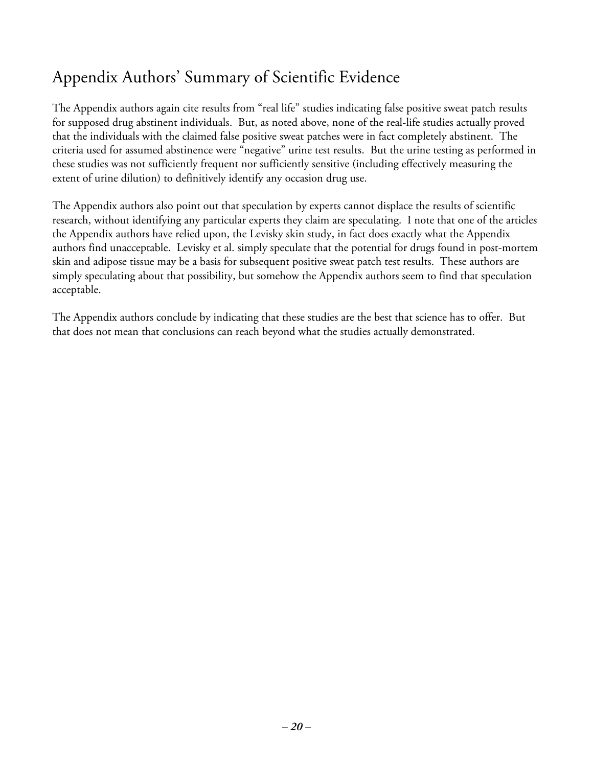## Appendix Authors' Summary of Scientific Evidence

The Appendix authors again cite results from "real life" studies indicating false positive sweat patch results for supposed drug abstinent individuals. But, as noted above, none of the real-life studies actually proved that the individuals with the claimed false positive sweat patches were in fact completely abstinent. The criteria used for assumed abstinence were "negative" urine test results. But the urine testing as performed in these studies was not sufficiently frequent nor sufficiently sensitive (including effectively measuring the extent of urine dilution) to definitively identify any occasion drug use.

The Appendix authors also point out that speculation by experts cannot displace the results of scientific research, without identifying any particular experts they claim are speculating. I note that one of the articles the Appendix authors have relied upon, the Levisky skin study, in fact does exactly what the Appendix authors find unacceptable. Levisky et al. simply speculate that the potential for drugs found in post-mortem skin and adipose tissue may be a basis for subsequent positive sweat patch test results. These authors are simply speculating about that possibility, but somehow the Appendix authors seem to find that speculation acceptable.

The Appendix authors conclude by indicating that these studies are the best that science has to offer. But that does not mean that conclusions can reach beyond what the studies actually demonstrated.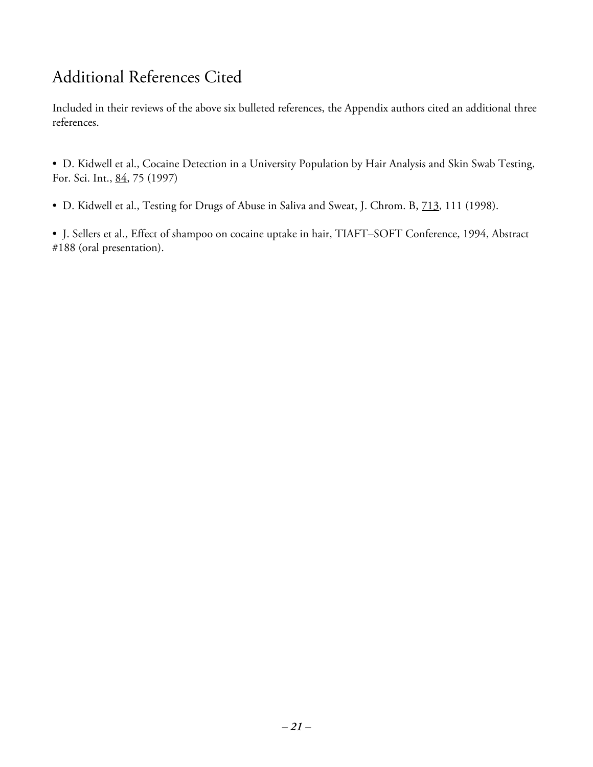#### Additional References Cited

Included in their reviews of the above six bulleted references, the Appendix authors cited an additional three references.

• D. Kidwell et al., Cocaine Detection in a University Population by Hair Analysis and Skin Swab Testing, For. Sci. Int., 84, 75 (1997)

• D. Kidwell et al., Testing for Drugs of Abuse in Saliva and Sweat, J. Chrom. B, 713, 111 (1998).

• J. Sellers et al., Effect of shampoo on cocaine uptake in hair, TIAFT–SOFT Conference, 1994, Abstract #188 (oral presentation).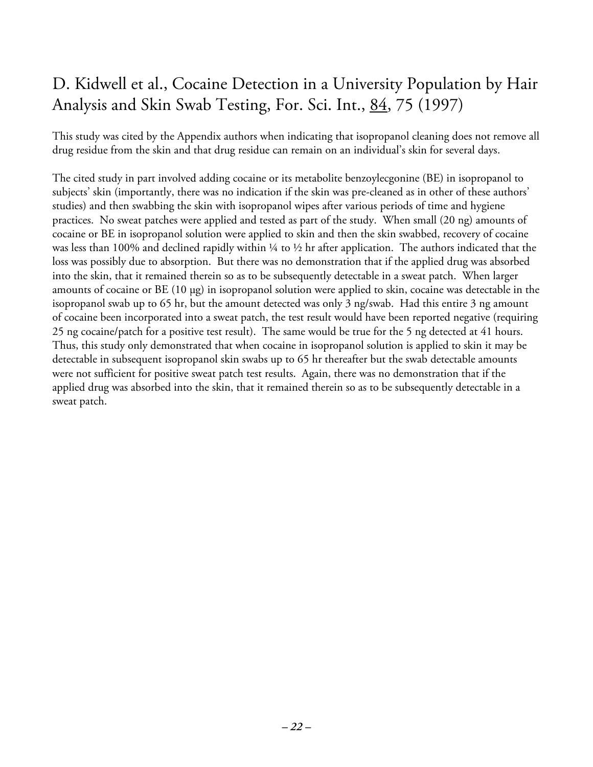## D. Kidwell et al., Cocaine Detection in a University Population by Hair Analysis and Skin Swab Testing, For. Sci. Int., 84, 75 (1997)

This study was cited by the Appendix authors when indicating that isopropanol cleaning does not remove all drug residue from the skin and that drug residue can remain on an individual's skin for several days.

The cited study in part involved adding cocaine or its metabolite benzoylecgonine (BE) in isopropanol to subjects' skin (importantly, there was no indication if the skin was pre-cleaned as in other of these authors' studies) and then swabbing the skin with isopropanol wipes after various periods of time and hygiene practices. No sweat patches were applied and tested as part of the study. When small (20 ng) amounts of cocaine or BE in isopropanol solution were applied to skin and then the skin swabbed, recovery of cocaine was less than 100% and declined rapidly within  $\frac{1}{4}$  to  $\frac{1}{2}$  hr after application. The authors indicated that the loss was possibly due to absorption. But there was no demonstration that if the applied drug was absorbed into the skin, that it remained therein so as to be subsequently detectable in a sweat patch. When larger amounts of cocaine or BE (10 µg) in isopropanol solution were applied to skin, cocaine was detectable in the isopropanol swab up to 65 hr, but the amount detected was only 3 ng/swab. Had this entire 3 ng amount of cocaine been incorporated into a sweat patch, the test result would have been reported negative (requiring 25 ng cocaine/patch for a positive test result). The same would be true for the 5 ng detected at 41 hours. Thus, this study only demonstrated that when cocaine in isopropanol solution is applied to skin it may be detectable in subsequent isopropanol skin swabs up to 65 hr thereafter but the swab detectable amounts were not sufficient for positive sweat patch test results. Again, there was no demonstration that if the applied drug was absorbed into the skin, that it remained therein so as to be subsequently detectable in a sweat patch.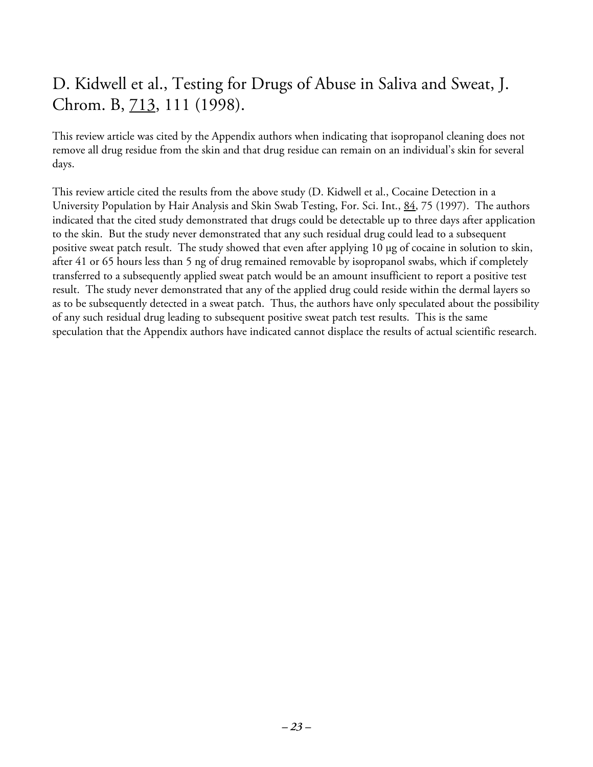## D. Kidwell et al., Testing for Drugs of Abuse in Saliva and Sweat, J. Chrom. B, 713, 111 (1998).

This review article was cited by the Appendix authors when indicating that isopropanol cleaning does not remove all drug residue from the skin and that drug residue can remain on an individual's skin for several days.

This review article cited the results from the above study (D. Kidwell et al., Cocaine Detection in a University Population by Hair Analysis and Skin Swab Testing, For. Sci. Int., 84, 75 (1997). The authors indicated that the cited study demonstrated that drugs could be detectable up to three days after application to the skin. But the study never demonstrated that any such residual drug could lead to a subsequent positive sweat patch result. The study showed that even after applying 10 µg of cocaine in solution to skin, after 41 or 65 hours less than 5 ng of drug remained removable by isopropanol swabs, which if completely transferred to a subsequently applied sweat patch would be an amount insufficient to report a positive test result. The study never demonstrated that any of the applied drug could reside within the dermal layers so as to be subsequently detected in a sweat patch. Thus, the authors have only speculated about the possibility of any such residual drug leading to subsequent positive sweat patch test results. This is the same speculation that the Appendix authors have indicated cannot displace the results of actual scientific research.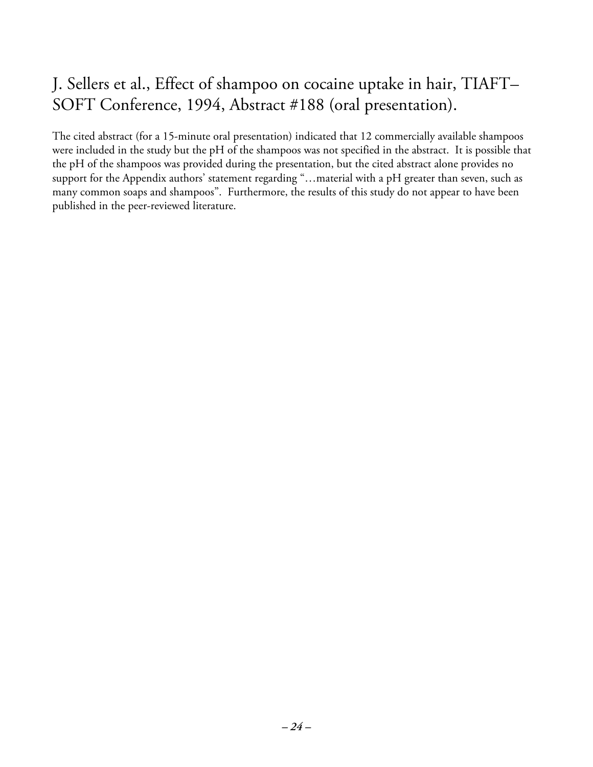## J. Sellers et al., Effect of shampoo on cocaine uptake in hair, TIAFT– SOFT Conference, 1994, Abstract #188 (oral presentation).

The cited abstract (for a 15-minute oral presentation) indicated that 12 commercially available shampoos were included in the study but the pH of the shampoos was not specified in the abstract. It is possible that the pH of the shampoos was provided during the presentation, but the cited abstract alone provides no support for the Appendix authors' statement regarding "…material with a pH greater than seven, such as many common soaps and shampoos". Furthermore, the results of this study do not appear to have been published in the peer-reviewed literature.